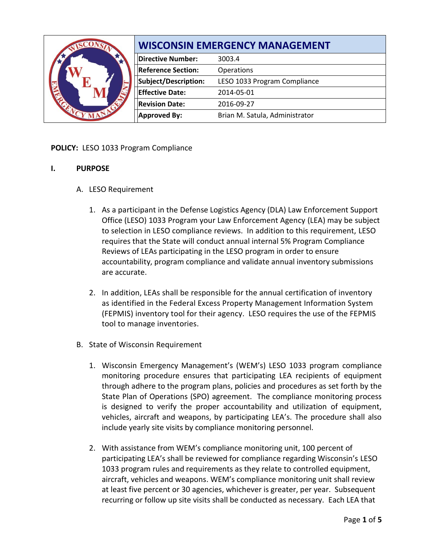| $\mathbb{C}^{\infty}$ | <b>WISCONSIN EMERGENCY MANAGEMENT</b> |                                |
|-----------------------|---------------------------------------|--------------------------------|
|                       | <b>Directive Number:</b>              | 3003.4                         |
|                       | <b>Reference Section:</b>             | Operations                     |
|                       | Subject/Description:                  | LESO 1033 Program Compliance   |
|                       | <b>Effective Date:</b>                | 2014-05-01                     |
|                       | <b>Revision Date:</b>                 | 2016-09-27                     |
|                       | <b>Approved By:</b>                   | Brian M. Satula, Administrator |

# **POLICY:** LESO 1033 Program Compliance

### **I. PURPOSE**

- A. LESO Requirement
	- 1. As a participant in the Defense Logistics Agency (DLA) Law Enforcement Support Office (LESO) 1033 Program your Law Enforcement Agency (LEA) may be subject to selection in LESO compliance reviews. In addition to this requirement, LESO requires that the State will conduct annual internal 5% Program Compliance Reviews of LEAs participating in the LESO program in order to ensure accountability, program compliance and validate annual inventory submissions are accurate.
	- 2. In addition, LEAs shall be responsible for the annual certification of inventory as identified in the Federal Excess Property Management Information System (FEPMIS) inventory tool for their agency. LESO requires the use of the FEPMIS tool to manage inventories.
- B. State of Wisconsin Requirement
	- 1. Wisconsin Emergency Management's (WEM's) LESO 1033 program compliance monitoring procedure ensures that participating LEA recipients of equipment through adhere to the program plans, policies and procedures as set forth by the State Plan of Operations (SPO) agreement. The compliance monitoring process is designed to verify the proper accountability and utilization of equipment, vehicles, aircraft and weapons, by participating LEA's. The procedure shall also include yearly site visits by compliance monitoring personnel.
	- 2. With assistance from WEM's compliance monitoring unit, 100 percent of participating LEA's shall be reviewed for compliance regarding Wisconsin's LESO 1033 program rules and requirements as they relate to controlled equipment, aircraft, vehicles and weapons. WEM's compliance monitoring unit shall review at least five percent or 30 agencies, whichever is greater, per year. Subsequent recurring or follow up site visits shall be conducted as necessary. Each LEA that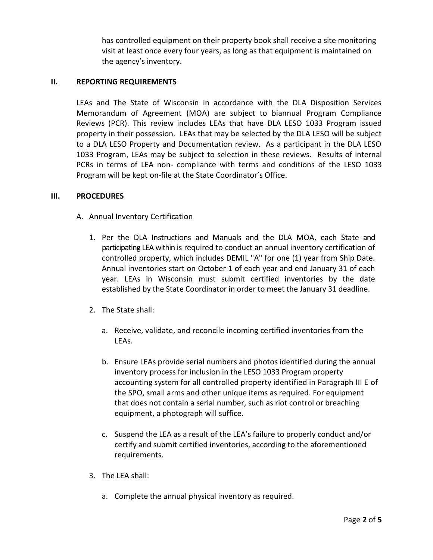has controlled equipment on their property book shall receive a site monitoring visit at least once every four years, as long as that equipment is maintained on the agency's inventory.

## **II. REPORTING REQUIREMENTS**

LEAs and The State of Wisconsin in accordance with the DLA Disposition Services Memorandum of Agreement (MOA) are subject to biannual Program Compliance Reviews (PCR). This review includes LEAs that have DLA LESO 1033 Program issued property in their possession. LEAs that may be selected by the DLA LESO will be subject to a DLA LESO Property and Documentation review. As a participant in the DLA LESO 1033 Program, LEAs may be subject to selection in these reviews. Results of internal PCRs in terms of LEA non- compliance with terms and conditions of the LESO 1033 Program will be kept on-file at the State Coordinator's Office.

### **III. PROCEDURES**

- A. Annual Inventory Certification
	- 1. Per the DLA Instructions and Manuals and the DLA MOA, each State and participating LEA within is required to conduct an annual inventory certification of controlled property, which includes DEMIL "A" for one (1) year from Ship Date. Annual inventories start on October 1 of each year and end January 31 of each year. LEAs in Wisconsin must submit certified inventories by the date established by the State Coordinator in order to meet the January 31 deadline.
	- 2. The State shall:
		- a. Receive, validate, and reconcile incoming certified inventories from the LEAs.
		- b. Ensure LEAs provide serial numbers and photos identified during the annual inventory process for inclusion in the LESO 1033 Program property accounting system for all controlled property identified in Paragraph III E of the SPO, small arms and other unique items as required. For equipment that does not contain a serial number, such as riot control or breaching equipment, a photograph will suffice.
		- c. Suspend the LEA as a result of the LEA's failure to properly conduct and/or certify and submit certified inventories, according to the aforementioned requirements.
	- 3. The LEA shall:
		- a. Complete the annual physical inventory as required.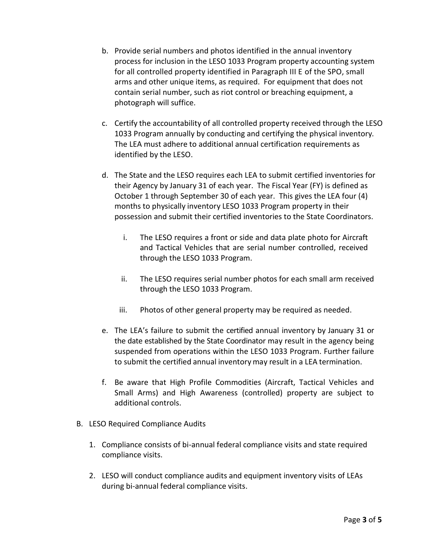- b. Provide serial numbers and photos identified in the annual inventory process for inclusion in the LESO 1033 Program property accounting system for all controlled property identified in Paragraph III E of the SPO, small arms and other unique items, as required. For equipment that does not contain serial number, such as riot control or breaching equipment, a photograph will suffice.
- c. Certify the accountability of all controlled property received through the LESO 1033 Program annually by conducting and certifying the physical inventory. The LEA must adhere to additional annual certification requirements as identified by the LESO.
- d. The State and the LESO requires each LEA to submit certified inventories for their Agency by January 31 of each year. The Fiscal Year (FY) is defined as October 1 through September 30 of each year. This gives the LEA four (4) months to physically inventory LESO 1033 Program property in their possession and submit their certified inventories to the State Coordinators.
	- i. The LESO requires a front or side and data plate photo for Aircraft and Tactical Vehicles that are serial number controlled, received through the LESO 1033 Program.
	- ii. The LESO requires serial number photos for each small arm received through the LESO 1033 Program.
	- iii. Photos of other general property may be required as needed.
- e. The LEA's failure to submit the certified annual inventory by January 31 or the date established by the State Coordinator may result in the agency being suspended from operations within the LESO 1033 Program. Further failure to submit the certified annual inventory may result in a LEA termination.
- f. Be aware that High Profile Commodities (Aircraft, Tactical Vehicles and Small Arms) and High Awareness (controlled) property are subject to additional controls.
- B. LESO Required Compliance Audits
	- 1. Compliance consists of bi-annual federal compliance visits and state required compliance visits.
	- 2. LESO will conduct compliance audits and equipment inventory visits of LEAs during bi-annual federal compliance visits.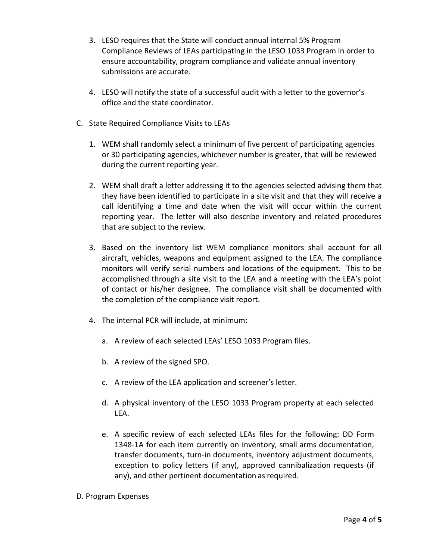- 3. LESO requires that the State will conduct annual internal 5% Program Compliance Reviews of LEAs participating in the LESO 1033 Program in order to ensure accountability, program compliance and validate annual inventory submissions are accurate.
- 4. LESO will notify the state of a successful audit with a letter to the governor's office and the state coordinator.
- C. State Required Compliance Visits to LEAs
	- 1. WEM shall randomly select a minimum of five percent of participating agencies or 30 participating agencies, whichever number is greater, that will be reviewed during the current reporting year.
	- 2. WEM shall draft a letter addressing it to the agencies selected advising them that they have been identified to participate in a site visit and that they will receive a call identifying a time and date when the visit will occur within the current reporting year. The letter will also describe inventory and related procedures that are subject to the review.
	- 3. Based on the inventory list WEM compliance monitors shall account for all aircraft, vehicles, weapons and equipment assigned to the LEA. The compliance monitors will verify serial numbers and locations of the equipment. This to be accomplished through a site visit to the LEA and a meeting with the LEA's point of contact or his/her designee. The compliance visit shall be documented with the completion of the compliance visit report.
	- 4. The internal PCR will include, at minimum:
		- a. A review of each selected LEAs' LESO 1033 Program files.
		- b. A review of the signed SPO.
		- c. A review of the LEA application and screener's letter.
		- d. A physical inventory of the LESO 1033 Program property at each selected LEA.
		- e. A specific review of each selected LEAs files for the following: DD Form 1348-1A for each item currently on inventory, small arms documentation, transfer documents, turn-in documents, inventory adjustment documents, exception to policy letters (if any), approved cannibalization requests (if any), and other pertinent documentation as required.
- D. Program Expenses